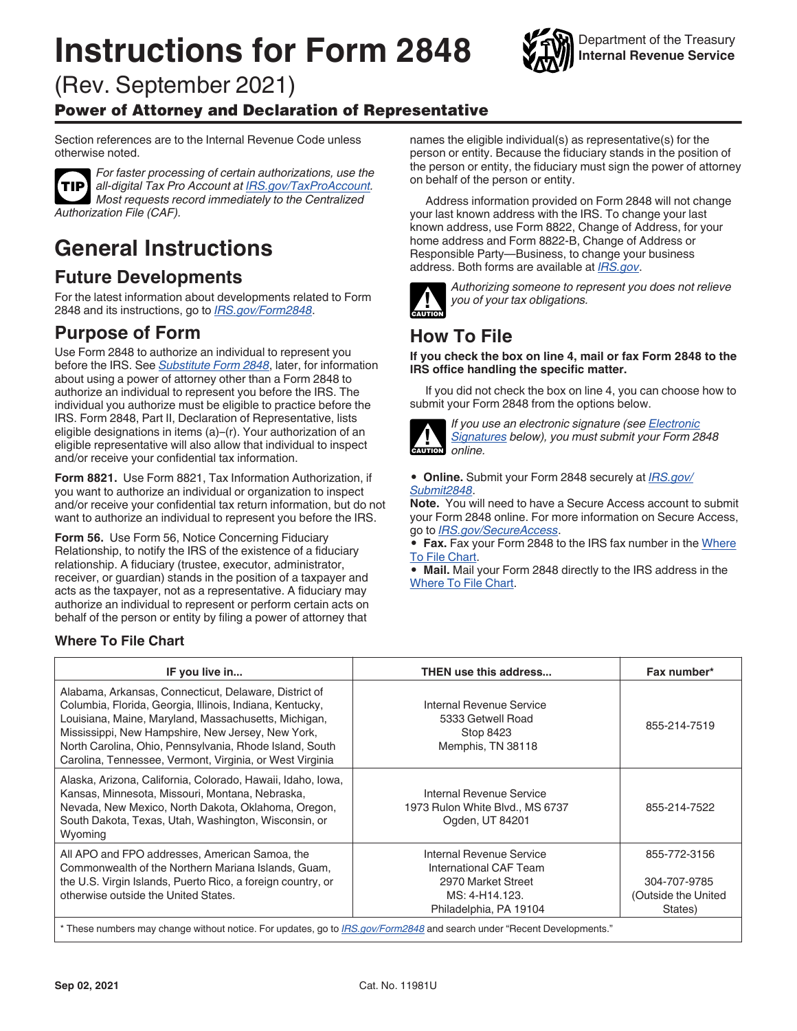# <span id="page-0-0"></span>**Instructions for Form 2848**



(Rev. September 2021)

#### Power of Attorney and Declaration of Representative

Section references are to the Internal Revenue Code unless otherwise noted.



*For faster processing of certain authorizations, use the all-digital Tax Pro Account at [IRS.gov/TaxProAccount.](https://www.irs.gov/tax-professionals/use-tax-pro-account) Most requests record immediately to the Centralized Authorization File (CAF).*

## **General Instructions**

### **Future Developments**

For the latest information about developments related to Form 2848 and its instructions, go to *[IRS.gov/Form2848](https://www.irs.gov/form2848)*.

### **Purpose of Form**

Use Form 2848 to authorize an individual to represent you before the IRS. See *[Substitute Form 2848](#page-2-0)*, later, for information about using a power of attorney other than a Form 2848 to authorize an individual to represent you before the IRS. The individual you authorize must be eligible to practice before the IRS. Form 2848, Part II, Declaration of Representative, lists eligible designations in items (a)–(r). Your authorization of an eligible representative will also allow that individual to inspect and/or receive your confidential tax information.

**Form 8821.** Use Form 8821, Tax Information Authorization, if you want to authorize an individual or organization to inspect and/or receive your confidential tax return information, but do not want to authorize an individual to represent you before the IRS.

**Form 56.** Use Form 56, Notice Concerning Fiduciary Relationship, to notify the IRS of the existence of a fiduciary relationship. A fiduciary (trustee, executor, administrator, receiver, or guardian) stands in the position of a taxpayer and acts as the taxpayer, not as a representative. A fiduciary may authorize an individual to represent or perform certain acts on behalf of the person or entity by filing a power of attorney that

#### **Where To File Chart**

names the eligible individual(s) as representative(s) for the person or entity. Because the fiduciary stands in the position of the person or entity, the fiduciary must sign the power of attorney on behalf of the person or entity.

Address information provided on Form 2848 will not change your last known address with the IRS. To change your last known address, use Form 8822, Change of Address, for your home address and Form 8822-B, Change of Address or Responsible Party—Business, to change your business address. Both forms are available at *[IRS.gov](https://www.irs.gov)*.



*Authorizing someone to represent you does not relieve you of your tax obligations.*

### **How To File**

**If you check the box on line 4, mail or fax Form 2848 to the IRS office handling the specific matter.**

If you did not check the box on line 4, you can choose how to submit your Form 2848 from the options below.



*If you use an electronic signature (see [Electronic](#page-1-0)  [Signatures](#page-1-0) below), you must submit your Form 2848 online.*

• **Online.** Submit your Form 2848 securely at *[IRS.gov/](https://www.irs.gov/tax-professionals/submit-forms-2848-and-8821-online) [Submit2848](https://www.irs.gov/tax-professionals/submit-forms-2848-and-8821-online)*.

**Note.** You will need to have a Secure Access account to submit your Form 2848 online. For more information on Secure Access, go to *[IRS.gov/SecureAccess](https://www.irs.gov/individuals/secure-access-how-to-register-for-certain-online-self-help-tools)*.

• **Fax.** Fax your Form 2848 to the IRS fax number in the Where To File Chart.

• **Mail.** Mail your Form 2848 directly to the IRS address in the Where To File Chart.

| IF you live in                                                                                                                                                                                                                                                                                                                                        | <b>THEN use this address</b>                                                                                         | Fax number*                                                    |
|-------------------------------------------------------------------------------------------------------------------------------------------------------------------------------------------------------------------------------------------------------------------------------------------------------------------------------------------------------|----------------------------------------------------------------------------------------------------------------------|----------------------------------------------------------------|
| Alabama, Arkansas, Connecticut, Delaware, District of<br>Columbia, Florida, Georgia, Illinois, Indiana, Kentucky,<br>Louisiana, Maine, Maryland, Massachusetts, Michigan,<br>Mississippi, New Hampshire, New Jersey, New York,<br>North Carolina, Ohio, Pennsylvania, Rhode Island, South<br>Carolina, Tennessee, Vermont, Virginia, or West Virginia | Internal Revenue Service<br>5333 Getwell Road<br>Stop 8423<br>Memphis, TN 38118                                      | 855-214-7519                                                   |
| Alaska, Arizona, California, Colorado, Hawaii, Idaho, Iowa,<br>Kansas, Minnesota, Missouri, Montana, Nebraska,<br>Nevada, New Mexico, North Dakota, Oklahoma, Oregon,<br>South Dakota, Texas, Utah, Washington, Wisconsin, or<br>Wyoming                                                                                                              | Internal Revenue Service<br>1973 Rulon White Blvd., MS 6737<br>Ogden, UT 84201                                       | 855-214-7522                                                   |
| All APO and FPO addresses, American Samoa, the<br>Commonwealth of the Northern Mariana Islands, Guam,<br>the U.S. Virgin Islands, Puerto Rico, a foreign country, or<br>otherwise outside the United States.                                                                                                                                          | Internal Revenue Service<br>International CAF Team<br>2970 Market Street<br>MS: 4-H14.123.<br>Philadelphia, PA 19104 | 855-772-3156<br>304-707-9785<br>(Outside the United<br>States) |
| * These numbers may change without notice. For updates, go to IRS.gov/Form2848 and search under "Recent Developments."                                                                                                                                                                                                                                |                                                                                                                      |                                                                |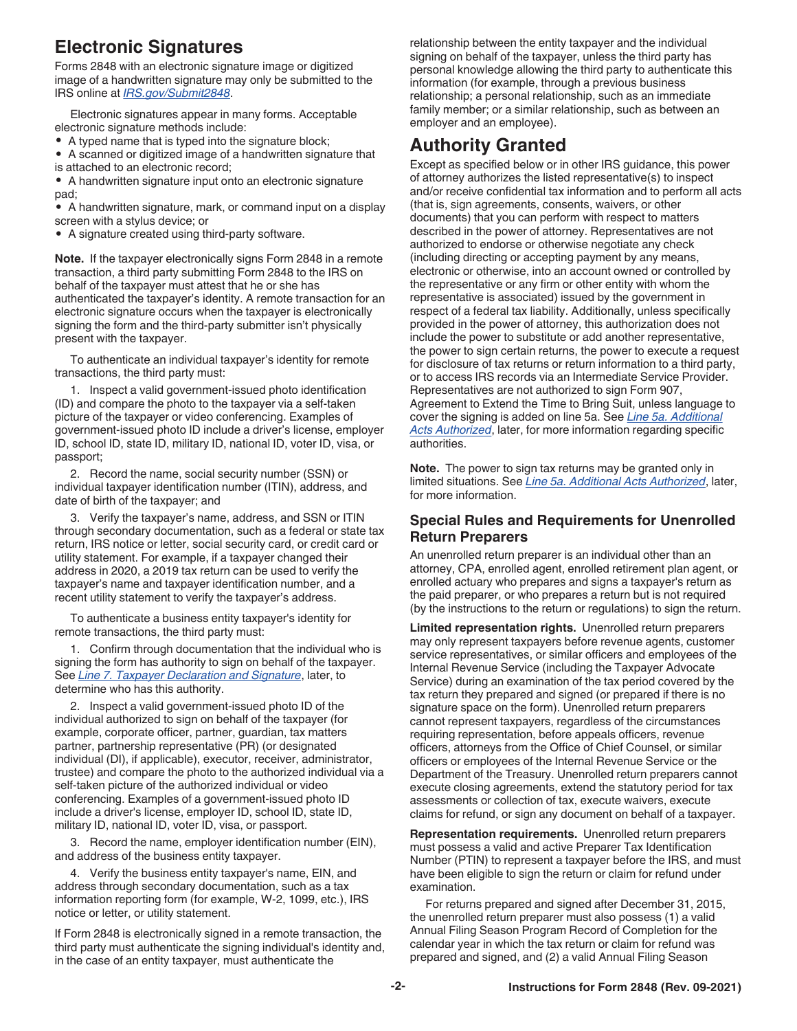### <span id="page-1-0"></span>**Electronic Signatures**

Forms 2848 with an electronic signature image or digitized image of a handwritten signature may only be submitted to the IRS online at *[IRS.gov/Submit2848](https://www.irs.gov/tax-professionals/submit-forms-2848-and-8821-online)*.

Electronic signatures appear in many forms. Acceptable electronic signature methods include:

- A typed name that is typed into the signature block;
- A scanned or digitized image of a handwritten signature that
- is attached to an electronic record;
- A handwritten signature input onto an electronic signature pad;

• A handwritten signature, mark, or command input on a display screen with a stylus device; or

• A signature created using third-party software.

**Note.** If the taxpayer electronically signs Form 2848 in a remote transaction, a third party submitting Form 2848 to the IRS on behalf of the taxpayer must attest that he or she has authenticated the taxpayer's identity. A remote transaction for an electronic signature occurs when the taxpayer is electronically signing the form and the third-party submitter isn't physically present with the taxpayer.

To authenticate an individual taxpayer's identity for remote transactions, the third party must:

1. Inspect a valid government-issued photo identification (ID) and compare the photo to the taxpayer via a self-taken picture of the taxpayer or video conferencing. Examples of government-issued photo ID include a driver's license, employer ID, school ID, state ID, military ID, national ID, voter ID, visa, or passport;

2. Record the name, social security number (SSN) or individual taxpayer identification number (ITIN), address, and date of birth of the taxpayer; and

3. Verify the taxpayer's name, address, and SSN or ITIN through secondary documentation, such as a federal or state tax return, IRS notice or letter, social security card, or credit card or utility statement. For example, if a taxpayer changed their address in 2020, a 2019 tax return can be used to verify the taxpayer's name and taxpayer identification number, and a recent utility statement to verify the taxpayer's address.

To authenticate a business entity taxpayer's identity for remote transactions, the third party must:

1. Confirm through documentation that the individual who is signing the form has authority to sign on behalf of the taxpayer. See *[Line 7. Taxpayer Declaration and Signature](#page-6-0)*, later, to determine who has this authority.

2. Inspect a valid government-issued photo ID of the individual authorized to sign on behalf of the taxpayer (for example, corporate officer, partner, guardian, tax matters partner, partnership representative (PR) (or designated individual (DI), if applicable), executor, receiver, administrator, trustee) and compare the photo to the authorized individual via a self-taken picture of the authorized individual or video conferencing. Examples of a government-issued photo ID include a driver's license, employer ID, school ID, state ID, military ID, national ID, voter ID, visa, or passport.

3. Record the name, employer identification number (EIN), and address of the business entity taxpayer.

4. Verify the business entity taxpayer's name, EIN, and address through secondary documentation, such as a tax information reporting form (for example, W-2, 1099, etc.), IRS notice or letter, or utility statement.

If Form 2848 is electronically signed in a remote transaction, the third party must authenticate the signing individual's identity and, in the case of an entity taxpayer, must authenticate the

relationship between the entity taxpayer and the individual signing on behalf of the taxpayer, unless the third party has personal knowledge allowing the third party to authenticate this information (for example, through a previous business relationship; a personal relationship, such as an immediate family member; or a similar relationship, such as between an employer and an employee).

### **Authority Granted**

Except as specified below or in other IRS guidance, this power of attorney authorizes the listed representative(s) to inspect and/or receive confidential tax information and to perform all acts (that is, sign agreements, consents, waivers, or other documents) that you can perform with respect to matters described in the power of attorney. Representatives are not authorized to endorse or otherwise negotiate any check (including directing or accepting payment by any means, electronic or otherwise, into an account owned or controlled by the representative or any firm or other entity with whom the representative is associated) issued by the government in respect of a federal tax liability. Additionally, unless specifically provided in the power of attorney, this authorization does not include the power to substitute or add another representative, the power to sign certain returns, the power to execute a request for disclosure of tax returns or return information to a third party, or to access IRS records via an Intermediate Service Provider. Representatives are not authorized to sign Form 907, Agreement to Extend the Time to Bring Suit, unless language to cover the signing is added on line 5a. See *[Line 5a. Additional](#page-5-0) [Acts Authorized](#page-5-0)*, later, for more information regarding specific authorities.

**Note.** The power to sign tax returns may be granted only in limited situations. See *[Line 5a. Additional Acts Authorized](#page-5-0)*, later, for more information.

#### **Special Rules and Requirements for Unenrolled Return Preparers**

An unenrolled return preparer is an individual other than an attorney, CPA, enrolled agent, enrolled retirement plan agent, or enrolled actuary who prepares and signs a taxpayer's return as the paid preparer, or who prepares a return but is not required (by the instructions to the return or regulations) to sign the return.

**Limited representation rights.** Unenrolled return preparers may only represent taxpayers before revenue agents, customer service representatives, or similar officers and employees of the Internal Revenue Service (including the Taxpayer Advocate Service) during an examination of the tax period covered by the tax return they prepared and signed (or prepared if there is no signature space on the form). Unenrolled return preparers cannot represent taxpayers, regardless of the circumstances requiring representation, before appeals officers, revenue officers, attorneys from the Office of Chief Counsel, or similar officers or employees of the Internal Revenue Service or the Department of the Treasury. Unenrolled return preparers cannot execute closing agreements, extend the statutory period for tax assessments or collection of tax, execute waivers, execute claims for refund, or sign any document on behalf of a taxpayer.

**Representation requirements.** Unenrolled return preparers must possess a valid and active Preparer Tax Identification Number (PTIN) to represent a taxpayer before the IRS, and must have been eligible to sign the return or claim for refund under examination.

For returns prepared and signed after December 31, 2015, the unenrolled return preparer must also possess (1) a valid Annual Filing Season Program Record of Completion for the calendar year in which the tax return or claim for refund was prepared and signed, and (2) a valid Annual Filing Season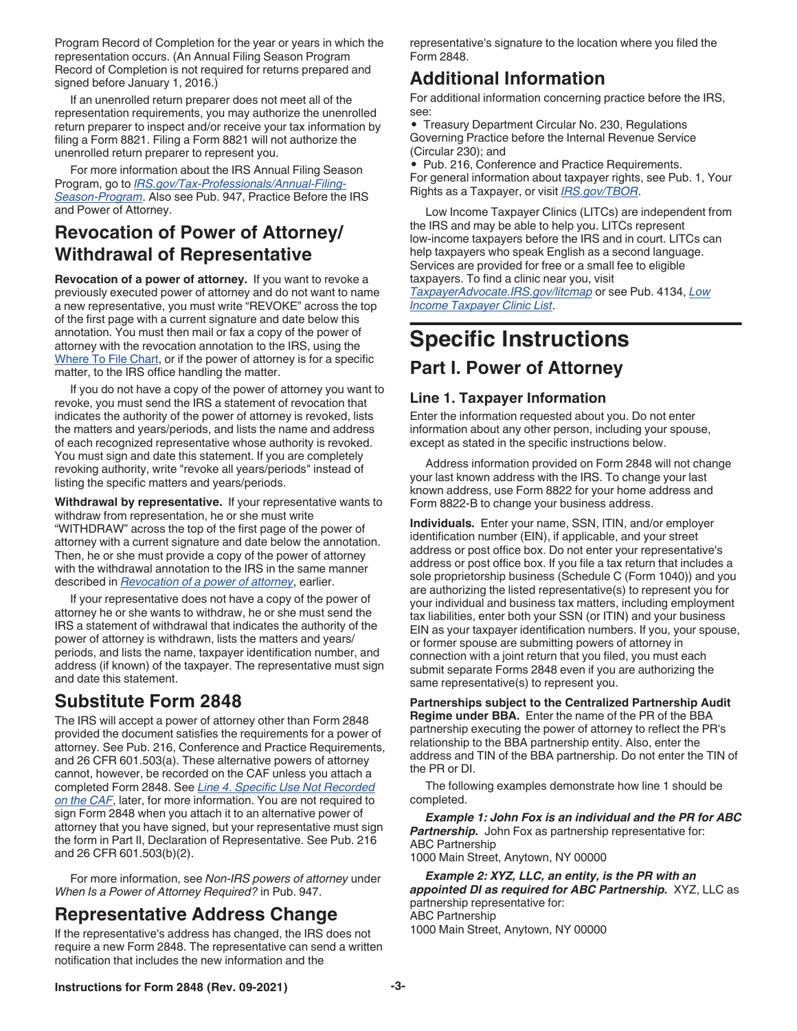<span id="page-2-0"></span>Program Record of Completion for the year or years in which the representation occurs. (An Annual Filing Season Program Record of Completion is not required for returns prepared and signed before January 1, 2016.)

If an unenrolled return preparer does not meet all of the representation requirements, you may authorize the unenrolled return preparer to inspect and/or receive your tax information by filing a Form 8821. Filing a Form 8821 will not authorize the unenrolled return preparer to represent you.

For more information about the IRS Annual Filing Season Program, go to *[IRS.gov/Tax-Professionals/Annual-Filing-](https://www.irs.gov/tax-professionals/annual-filing-season-program)[Season-Program](https://www.irs.gov/tax-professionals/annual-filing-season-program)*. Also see Pub. 947, Practice Before the IRS and Power of Attorney.

### **Revocation of Power of Attorney/ Withdrawal of Representative**

**Revocation of a power of attorney.** If you want to revoke a previously executed power of attorney and do not want to name a new representative, you must write "REVOKE" across the top of the first page with a current signature and date below this annotation. You must then mail or fax a copy of the power of attorney with the revocation annotation to the IRS, using the [Where To File Chart,](#page-0-0) or if the power of attorney is for a specific matter, to the IRS office handling the matter.

If you do not have a copy of the power of attorney you want to revoke, you must send the IRS a statement of revocation that indicates the authority of the power of attorney is revoked, lists the matters and years/periods, and lists the name and address of each recognized representative whose authority is revoked. You must sign and date this statement. If you are completely revoking authority, write "revoke all years/periods" instead of listing the specific matters and years/periods.

**Withdrawal by representative.** If your representative wants to withdraw from representation, he or she must write "WITHDRAW" across the top of the first page of the power of attorney with a current signature and date below the annotation. Then, he or she must provide a copy of the power of attorney with the withdrawal annotation to the IRS in the same manner described in *Revocation of a power of attorney*, earlier.

If your representative does not have a copy of the power of attorney he or she wants to withdraw, he or she must send the IRS a statement of withdrawal that indicates the authority of the power of attorney is withdrawn, lists the matters and years/ periods, and lists the name, taxpayer identification number, and address (if known) of the taxpayer. The representative must sign and date this statement.

### **Substitute Form 2848**

The IRS will accept a power of attorney other than Form 2848 provided the document satisfies the requirements for a power of attorney. See Pub. 216, Conference and Practice Requirements, and 26 CFR 601.503(a). These alternative powers of attorney cannot, however, be recorded on the CAF unless you attach a completed Form 2848. See *[Line 4. Specific Use Not Recorded](#page-4-0) [on the CAF](#page-4-0)*, later, for more information. You are not required to sign Form 2848 when you attach it to an alternative power of attorney that you have signed, but your representative must sign the form in Part II, Declaration of Representative. See Pub. 216 and 26 CFR 601.503(b)(2).

For more information, see *Non-IRS powers of attorney* under *When Is a Power of Attorney Required?* in Pub. 947.

### **Representative Address Change**

If the representative's address has changed, the IRS does not require a new Form 2848. The representative can send a written notification that includes the new information and the

representative's signature to the location where you filed the Form 2848.

### **Additional Information**

For additional information concerning practice before the IRS, see:

• Treasury Department Circular No. 230, Regulations Governing Practice before the Internal Revenue Service (Circular 230); and

• Pub. 216, Conference and Practice Requirements. For general information about taxpayer rights, see Pub. 1, Your Rights as a Taxpayer, or visit *[IRS.gov/TBOR](https://www.irs.gov/tbor)*.

Low Income Taxpayer Clinics (LITCs) are independent from the IRS and may be able to help you. LITCs represent low-income taxpayers before the IRS and in court. LITCs can help taxpayers who speak English as a second language. Services are provided for free or a small fee to eligible taxpayers. To find a clinic near you, visit *[TaxpayerAdvocate.IRS.gov/litcmap](https://www.irs.gov/advocate/low-income-taxpayer-clinics/low-income-taxpayer-clinic-map)* or see Pub. 4134, *[Low](https://www.irs.gov/pub/irs-pdf/p4134.pdf)* 

*[Income Taxpayer Clinic List](https://www.irs.gov/pub/irs-pdf/p4134.pdf)*.

# **Specific Instructions**

#### **Part I. Power of Attorney**

#### **Line 1. Taxpayer Information**

Enter the information requested about you. Do not enter information about any other person, including your spouse, except as stated in the specific instructions below.

Address information provided on Form 2848 will not change your last known address with the IRS. To change your last known address, use Form 8822 for your home address and Form 8822-B to change your business address.

**Individuals.** Enter your name, SSN, ITIN, and/or employer identification number (EIN), if applicable, and your street address or post office box. Do not enter your representative's address or post office box. If you file a tax return that includes a sole proprietorship business (Schedule C (Form 1040)) and you are authorizing the listed representative(s) to represent you for your individual and business tax matters, including employment tax liabilities, enter both your SSN (or ITIN) and your business EIN as your taxpayer identification numbers. If you, your spouse, or former spouse are submitting powers of attorney in connection with a joint return that you filed, you must each submit separate Forms 2848 even if you are authorizing the same representative(s) to represent you.

**Partnerships subject to the Centralized Partnership Audit Regime under BBA.** Enter the name of the PR of the BBA partnership executing the power of attorney to reflect the PR's relationship to the BBA partnership entity. Also, enter the address and TIN of the BBA partnership. Do not enter the TIN of the PR or DI.

The following examples demonstrate how line 1 should be completed.

*Example 1: John Fox is an individual and the PR for ABC*  **Partnership.** John Fox as partnership representative for: ABC Partnership 1000 Main Street, Anytown, NY 00000

*Example 2: XYZ, LLC, an entity, is the PR with an appointed DI as required for ABC Partnership.* XYZ, LLC as partnership representative for: ABC Partnership 1000 Main Street, Anytown, NY 00000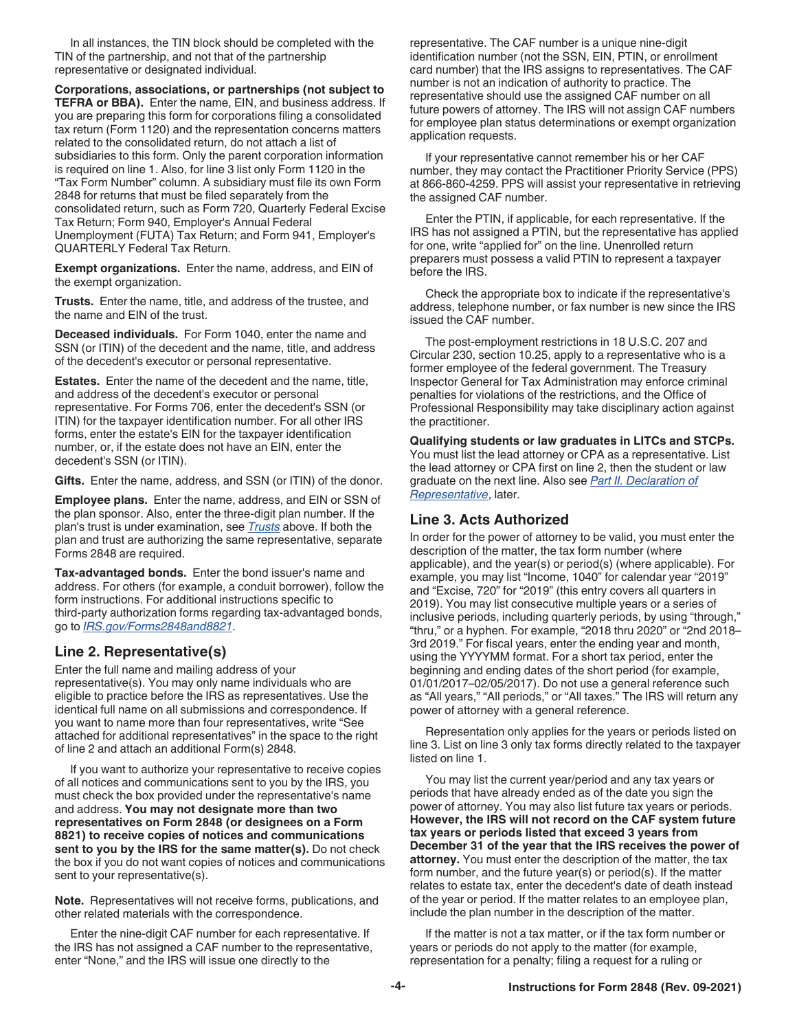In all instances, the TIN block should be completed with the TIN of the partnership, and not that of the partnership representative or designated individual.

**Corporations, associations, or partnerships (not subject to TEFRA or BBA).** Enter the name, EIN, and business address. If you are preparing this form for corporations filing a consolidated tax return (Form 1120) and the representation concerns matters related to the consolidated return, do not attach a list of subsidiaries to this form. Only the parent corporation information is required on line 1. Also, for line 3 list only Form 1120 in the "Tax Form Number" column. A subsidiary must file its own Form 2848 for returns that must be filed separately from the consolidated return, such as Form 720, Quarterly Federal Excise Tax Return; Form 940, Employer's Annual Federal Unemployment (FUTA) Tax Return; and Form 941, Employer's QUARTERLY Federal Tax Return.

**Exempt organizations.** Enter the name, address, and EIN of the exempt organization.

**Trusts.** Enter the name, title, and address of the trustee, and the name and EIN of the trust.

**Deceased individuals.** For Form 1040, enter the name and SSN (or ITIN) of the decedent and the name, title, and address of the decedent's executor or personal representative.

**Estates.** Enter the name of the decedent and the name, title, and address of the decedent's executor or personal representative. For Forms 706, enter the decedent's SSN (or ITIN) for the taxpayer identification number. For all other IRS forms, enter the estate's EIN for the taxpayer identification number, or, if the estate does not have an EIN, enter the decedent's SSN (or ITIN).

**Gifts.** Enter the name, address, and SSN (or ITIN) of the donor.

**Employee plans.** Enter the name, address, and EIN or SSN of the plan sponsor. Also, enter the three-digit plan number. If the plan's trust is under examination, see *Trusts* above. If both the plan and trust are authorizing the same representative, separate Forms 2848 are required.

**Tax-advantaged bonds.** Enter the bond issuer's name and address. For others (for example, a conduit borrower), follow the form instructions. For additional instructions specific to third-party authorization forms regarding tax-advantaged bonds, go to *[IRS.gov/Forms2848and8821](https://www.irs.gov/tax-exempt-bonds/forms-2848-and-8821-for-tax-advantaged-bonds)*.

#### **Line 2. Representative(s)**

Enter the full name and mailing address of your representative(s). You may only name individuals who are eligible to practice before the IRS as representatives. Use the identical full name on all submissions and correspondence. If you want to name more than four representatives, write "See attached for additional representatives" in the space to the right of line 2 and attach an additional Form(s) 2848.

If you want to authorize your representative to receive copies of all notices and communications sent to you by the IRS, you must check the box provided under the representative's name and address. **You may not designate more than two representatives on Form 2848 (or designees on a Form 8821) to receive copies of notices and communications sent to you by the IRS for the same matter(s).** Do not check the box if you do not want copies of notices and communications sent to your representative(s).

**Note.** Representatives will not receive forms, publications, and other related materials with the correspondence.

Enter the nine-digit CAF number for each representative. If the IRS has not assigned a CAF number to the representative, enter "None," and the IRS will issue one directly to the

representative. The CAF number is a unique nine-digit identification number (not the SSN, EIN, PTIN, or enrollment card number) that the IRS assigns to representatives. The CAF number is not an indication of authority to practice. The representative should use the assigned CAF number on all future powers of attorney. The IRS will not assign CAF numbers for employee plan status determinations or exempt organization application requests.

If your representative cannot remember his or her CAF number, they may contact the Practitioner Priority Service (PPS) at 866-860-4259. PPS will assist your representative in retrieving the assigned CAF number.

Enter the PTIN, if applicable, for each representative. If the IRS has not assigned a PTIN, but the representative has applied for one, write "applied for" on the line. Unenrolled return preparers must possess a valid PTIN to represent a taxpayer before the IRS.

Check the appropriate box to indicate if the representative's address, telephone number, or fax number is new since the IRS issued the CAF number.

The post-employment restrictions in 18 U.S.C. 207 and Circular 230, section 10.25, apply to a representative who is a former employee of the federal government. The Treasury Inspector General for Tax Administration may enforce criminal penalties for violations of the restrictions, and the Office of Professional Responsibility may take disciplinary action against the practitioner.

**Qualifying students or law graduates in LITCs and STCPs.**  You must list the lead attorney or CPA as a representative. List the lead attorney or CPA first on line 2, then the student or law graduate on the next line. Also see *[Part II. Declaration of](#page-6-0) [Representative](#page-6-0)*, later.

#### **Line 3. Acts Authorized**

In order for the power of attorney to be valid, you must enter the description of the matter, the tax form number (where applicable), and the year(s) or period(s) (where applicable). For example, you may list "Income, 1040" for calendar year "2019" and "Excise, 720" for "2019" (this entry covers all quarters in 2019). You may list consecutive multiple years or a series of inclusive periods, including quarterly periods, by using "through," "thru," or a hyphen. For example, "2018 thru 2020" or "2nd 2018– 3rd 2019." For fiscal years, enter the ending year and month, using the YYYYMM format. For a short tax period, enter the beginning and ending dates of the short period (for example, 01/01/2017–02/05/2017). Do not use a general reference such as "All years," "All periods," or "All taxes." The IRS will return any power of attorney with a general reference.

Representation only applies for the years or periods listed on line 3. List on line 3 only tax forms directly related to the taxpayer listed on line 1.

You may list the current year/period and any tax years or periods that have already ended as of the date you sign the power of attorney. You may also list future tax years or periods. **However, the IRS will not record on the CAF system future tax years or periods listed that exceed 3 years from December 31 of the year that the IRS receives the power of attorney.** You must enter the description of the matter, the tax form number, and the future year(s) or period(s). If the matter relates to estate tax, enter the decedent's date of death instead of the year or period. If the matter relates to an employee plan, include the plan number in the description of the matter.

If the matter is not a tax matter, or if the tax form number or years or periods do not apply to the matter (for example, representation for a penalty; filing a request for a ruling or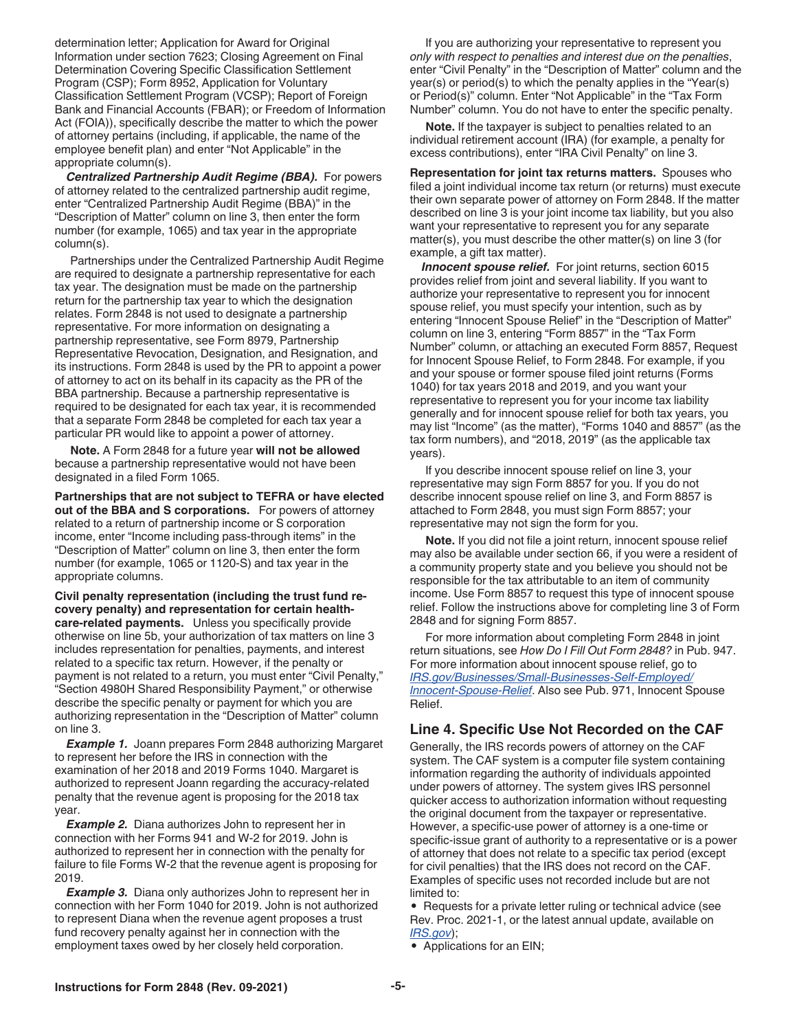<span id="page-4-0"></span>determination letter; Application for Award for Original Information under section 7623; Closing Agreement on Final Determination Covering Specific Classification Settlement Program (CSP); Form 8952, Application for Voluntary Classification Settlement Program (VCSP); Report of Foreign Bank and Financial Accounts (FBAR); or Freedom of Information Act (FOIA)), specifically describe the matter to which the power of attorney pertains (including, if applicable, the name of the employee benefit plan) and enter "Not Applicable" in the appropriate column(s).

*Centralized Partnership Audit Regime (BBA).* For powers of attorney related to the centralized partnership audit regime, enter "Centralized Partnership Audit Regime (BBA)" in the "Description of Matter" column on line 3, then enter the form number (for example, 1065) and tax year in the appropriate column(s).

Partnerships under the Centralized Partnership Audit Regime are required to designate a partnership representative for each tax year. The designation must be made on the partnership return for the partnership tax year to which the designation relates. Form 2848 is not used to designate a partnership representative. For more information on designating a partnership representative, see Form 8979, Partnership Representative Revocation, Designation, and Resignation, and its instructions. Form 2848 is used by the PR to appoint a power of attorney to act on its behalf in its capacity as the PR of the BBA partnership. Because a partnership representative is required to be designated for each tax year, it is recommended that a separate Form 2848 be completed for each tax year a particular PR would like to appoint a power of attorney.

**Note.** A Form 2848 for a future year **will not be allowed**  because a partnership representative would not have been designated in a filed Form 1065.

**Partnerships that are not subject to TEFRA or have elected out of the BBA and S corporations.** For powers of attorney related to a return of partnership income or S corporation income, enter "Income including pass-through items" in the "Description of Matter" column on line 3, then enter the form number (for example, 1065 or 1120-S) and tax year in the appropriate columns.

**Civil penalty representation (including the trust fund recovery penalty) and representation for certain healthcare-related payments.** Unless you specifically provide otherwise on line 5b, your authorization of tax matters on line 3 includes representation for penalties, payments, and interest related to a specific tax return. However, if the penalty or payment is not related to a return, you must enter "Civil Penalty," "Section 4980H Shared Responsibility Payment," or otherwise describe the specific penalty or payment for which you are authorizing representation in the "Description of Matter" column on line 3.

**Example 1.** Joann prepares Form 2848 authorizing Margaret to represent her before the IRS in connection with the examination of her 2018 and 2019 Forms 1040. Margaret is authorized to represent Joann regarding the accuracy-related penalty that the revenue agent is proposing for the 2018 tax year.

*Example 2.* Diana authorizes John to represent her in connection with her Forms 941 and W-2 for 2019. John is authorized to represent her in connection with the penalty for failure to file Forms W-2 that the revenue agent is proposing for 2019.

**Example 3.** Diana only authorizes John to represent her in connection with her Form 1040 for 2019. John is not authorized to represent Diana when the revenue agent proposes a trust fund recovery penalty against her in connection with the employment taxes owed by her closely held corporation.

If you are authorizing your representative to represent you *only with respect to penalties and interest due on the penalties*, enter "Civil Penalty" in the "Description of Matter" column and the year(s) or period(s) to which the penalty applies in the "Year(s) or Period(s)" column. Enter "Not Applicable" in the "Tax Form Number" column. You do not have to enter the specific penalty.

**Note.** If the taxpayer is subject to penalties related to an individual retirement account (IRA) (for example, a penalty for excess contributions), enter "IRA Civil Penalty" on line 3.

**Representation for joint tax returns matters.** Spouses who filed a joint individual income tax return (or returns) must execute their own separate power of attorney on Form 2848. If the matter described on line 3 is your joint income tax liability, but you also want your representative to represent you for any separate matter(s), you must describe the other matter(s) on line 3 (for example, a gift tax matter).

*Innocent spouse relief.* For joint returns, section 6015 provides relief from joint and several liability. If you want to authorize your representative to represent you for innocent spouse relief, you must specify your intention, such as by entering "Innocent Spouse Relief" in the "Description of Matter" column on line 3, entering "Form 8857" in the "Tax Form Number" column, or attaching an executed Form 8857, Request for Innocent Spouse Relief, to Form 2848. For example, if you and your spouse or former spouse filed joint returns (Forms 1040) for tax years 2018 and 2019, and you want your representative to represent you for your income tax liability generally and for innocent spouse relief for both tax years, you may list "Income" (as the matter), "Forms 1040 and 8857" (as the tax form numbers), and "2018, 2019" (as the applicable tax years).

If you describe innocent spouse relief on line 3, your representative may sign Form 8857 for you. If you do not describe innocent spouse relief on line 3, and Form 8857 is attached to Form 2848, you must sign Form 8857; your representative may not sign the form for you.

**Note.** If you did not file a joint return, innocent spouse relief may also be available under section 66, if you were a resident of a community property state and you believe you should not be responsible for the tax attributable to an item of community income. Use Form 8857 to request this type of innocent spouse relief. Follow the instructions above for completing line 3 of Form 2848 and for signing Form 8857.

For more information about completing Form 2848 in joint return situations, see *How Do I Fill Out Form 2848?* in Pub. 947. For more information about innocent spouse relief, go to *[IRS.gov/Businesses/Small-Businesses-Self-Employed/](https://www.irs.gov/businesses/small-businesses-self-employed/innocent-spouse-relief) [Innocent-Spouse-Relief](https://www.irs.gov/businesses/small-businesses-self-employed/innocent-spouse-relief)*. Also see Pub. 971, Innocent Spouse Relief.

#### **Line 4. Specific Use Not Recorded on the CAF**

Generally, the IRS records powers of attorney on the CAF system. The CAF system is a computer file system containing information regarding the authority of individuals appointed under powers of attorney. The system gives IRS personnel quicker access to authorization information without requesting the original document from the taxpayer or representative. However, a specific-use power of attorney is a one-time or specific-issue grant of authority to a representative or is a power of attorney that does not relate to a specific tax period (except for civil penalties) that the IRS does not record on the CAF. Examples of specific uses not recorded include but are not limited to:

• Requests for a private letter ruling or technical advice (see Rev. Proc. 2021-1, or the latest annual update, available on *[IRS.gov](https://www.irs.gov/)*);

• Applications for an EIN;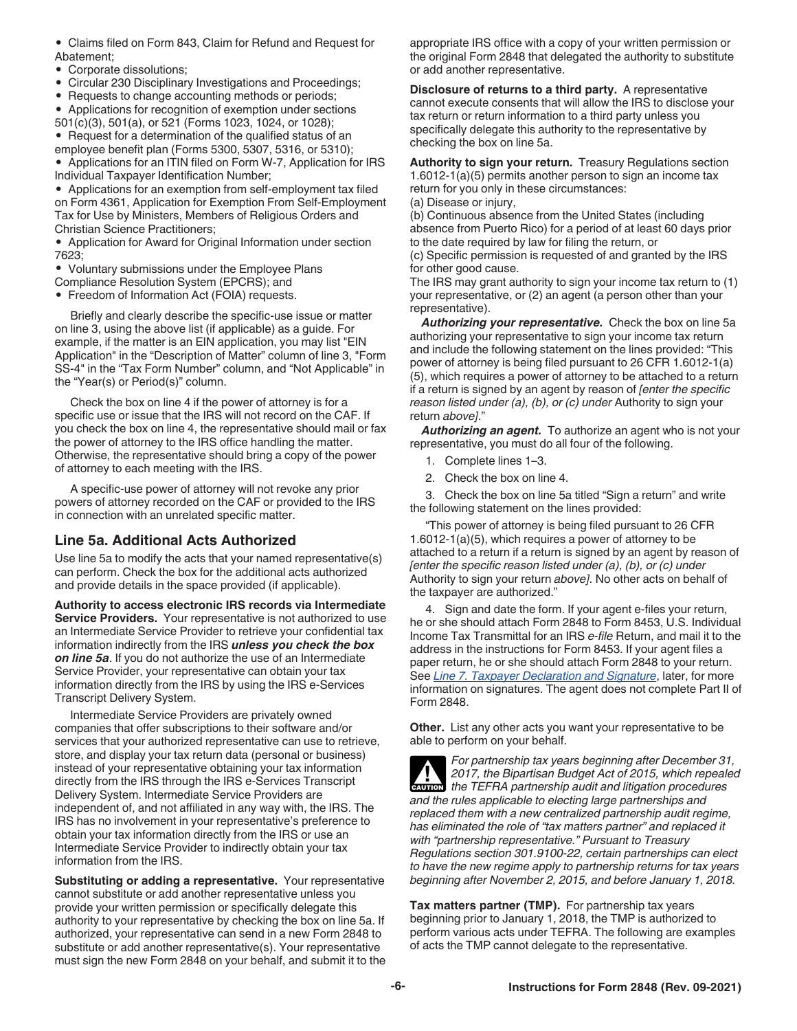<span id="page-5-0"></span>• Claims filed on Form 843, Claim for Refund and Request for Abatement;

• Corporate dissolutions;

• Circular 230 Disciplinary Investigations and Proceedings;

• Requests to change accounting methods or periods;

• Applications for recognition of exemption under sections 501(c)(3), 501(a), or 521 (Forms 1023, 1024, or 1028);

• Request for a determination of the qualified status of an employee benefit plan (Forms 5300, 5307, 5316, or 5310);

• Applications for an ITIN filed on Form W-7, Application for IRS Individual Taxpayer Identification Number;

• Applications for an exemption from self-employment tax filed on Form 4361, Application for Exemption From Self-Employment Tax for Use by Ministers, Members of Religious Orders and Christian Science Practitioners;

• Application for Award for Original Information under section 7623;

• Voluntary submissions under the Employee Plans

Compliance Resolution System (EPCRS); and

• Freedom of Information Act (FOIA) requests.

Briefly and clearly describe the specific-use issue or matter on line 3, using the above list (if applicable) as a guide. For example, if the matter is an EIN application, you may list "EIN Application" in the "Description of Matter" column of line 3, "Form SS-4" in the "Tax Form Number" column, and "Not Applicable" in the "Year(s) or Period(s)" column.

Check the box on line 4 if the power of attorney is for a specific use or issue that the IRS will not record on the CAF. If you check the box on line 4, the representative should mail or fax the power of attorney to the IRS office handling the matter. Otherwise, the representative should bring a copy of the power of attorney to each meeting with the IRS.

A specific-use power of attorney will not revoke any prior powers of attorney recorded on the CAF or provided to the IRS in connection with an unrelated specific matter.

#### **Line 5a. Additional Acts Authorized**

Use line 5a to modify the acts that your named representative(s) can perform. Check the box for the additional acts authorized and provide details in the space provided (if applicable).

**Authority to access electronic IRS records via Intermediate Service Providers.** Your representative is not authorized to use an Intermediate Service Provider to retrieve your confidential tax information indirectly from the IRS *unless you check the box on line 5a*. If you do not authorize the use of an Intermediate Service Provider, your representative can obtain your tax information directly from the IRS by using the IRS e-Services Transcript Delivery System.

Intermediate Service Providers are privately owned companies that offer subscriptions to their software and/or services that your authorized representative can use to retrieve, store, and display your tax return data (personal or business) instead of your representative obtaining your tax information directly from the IRS through the IRS e-Services Transcript Delivery System. Intermediate Service Providers are independent of, and not affiliated in any way with, the IRS. The IRS has no involvement in your representative's preference to obtain your tax information directly from the IRS or use an Intermediate Service Provider to indirectly obtain your tax information from the IRS.

**Substituting or adding a representative.** Your representative cannot substitute or add another representative unless you provide your written permission or specifically delegate this authority to your representative by checking the box on line 5a. If authorized, your representative can send in a new Form 2848 to substitute or add another representative(s). Your representative must sign the new Form 2848 on your behalf, and submit it to the appropriate IRS office with a copy of your written permission or the original Form 2848 that delegated the authority to substitute or add another representative.

**Disclosure of returns to a third party.** A representative cannot execute consents that will allow the IRS to disclose your tax return or return information to a third party unless you specifically delegate this authority to the representative by checking the box on line 5a.

**Authority to sign your return.** Treasury Regulations section 1.6012-1(a)(5) permits another person to sign an income tax return for you only in these circumstances: (a) Disease or injury,

(b) Continuous absence from the United States (including absence from Puerto Rico) for a period of at least 60 days prior to the date required by law for filing the return, or

(c) Specific permission is requested of and granted by the IRS for other good cause.

The IRS may grant authority to sign your income tax return to (1) your representative, or (2) an agent (a person other than your representative).

*Authorizing your representative.* Check the box on line 5a authorizing your representative to sign your income tax return and include the following statement on the lines provided: "This power of attorney is being filed pursuant to 26 CFR 1.6012-1(a) (5), which requires a power of attorney to be attached to a return if a return is signed by an agent by reason of *[enter the specific reason listed under (a), (b), or (c) under* Authority to sign your return *above]*."

*Authorizing an agent.* To authorize an agent who is not your representative, you must do all four of the following.

- 1. Complete lines 1–3.
- 2. Check the box on line 4.

3. Check the box on line 5a titled "Sign a return" and write the following statement on the lines provided:

"This power of attorney is being filed pursuant to 26 CFR 1.6012-1(a)(5), which requires a power of attorney to be attached to a return if a return is signed by an agent by reason of *[enter the specific reason listed under (a), (b), or (c) under*  Authority to sign your return *above]*. No other acts on behalf of the taxpayer are authorized."

4. Sign and date the form. If your agent e-files your return, he or she should attach Form 2848 to Form 8453, U.S. Individual Income Tax Transmittal for an IRS *e-file* Return, and mail it to the address in the instructions for Form 8453. If your agent files a paper return, he or she should attach Form 2848 to your return. See *[Line 7. Taxpayer Declaration and Signature](#page-6-0)*, later, for more information on signatures. The agent does not complete Part II of Form 2848.

**Other.** List any other acts you want your representative to be able to perform on your behalf.

*For partnership tax years beginning after December 31, 2017, the Bipartisan Budget Act of 2015, which repealed*  **z** 2017, the Bipartisan Budget Act of 2015, which repealed a the TEFRA partnership audit and litigation procedures *and the rules applicable to electing large partnerships and replaced them with a new centralized partnership audit regime, has eliminated the role of "tax matters partner" and replaced it with "partnership representative." Pursuant to Treasury Regulations section 301.9100-22, certain partnerships can elect to have the new regime apply to partnership returns for tax years beginning after November 2, 2015, and before January 1, 2018.*

**Tax matters partner (TMP).** For partnership tax years beginning prior to January 1, 2018, the TMP is authorized to perform various acts under TEFRA. The following are examples of acts the TMP cannot delegate to the representative.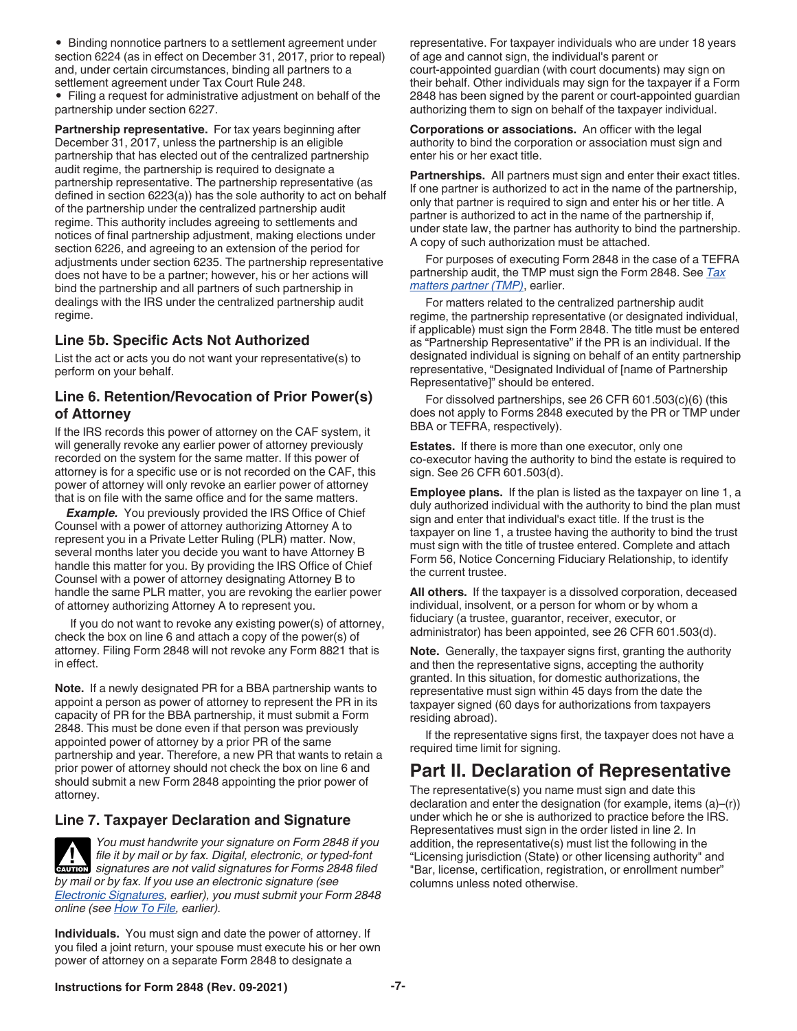<span id="page-6-0"></span>• Binding nonnotice partners to a settlement agreement under section 6224 (as in effect on December 31, 2017, prior to repeal) and, under certain circumstances, binding all partners to a settlement agreement under Tax Court Rule 248.

• Filing a request for administrative adjustment on behalf of the partnership under section 6227.

**Partnership representative.** For tax years beginning after December 31, 2017, unless the partnership is an eligible partnership that has elected out of the centralized partnership audit regime, the partnership is required to designate a partnership representative. The partnership representative (as defined in section 6223(a)) has the sole authority to act on behalf of the partnership under the centralized partnership audit regime. This authority includes agreeing to settlements and notices of final partnership adjustment, making elections under section 6226, and agreeing to an extension of the period for adjustments under section 6235. The partnership representative does not have to be a partner; however, his or her actions will bind the partnership and all partners of such partnership in dealings with the IRS under the centralized partnership audit regime.

#### **Line 5b. Specific Acts Not Authorized**

List the act or acts you do not want your representative(s) to perform on your behalf.

#### **Line 6. Retention/Revocation of Prior Power(s) of Attorney**

If the IRS records this power of attorney on the CAF system, it will generally revoke any earlier power of attorney previously recorded on the system for the same matter. If this power of attorney is for a specific use or is not recorded on the CAF, this power of attorney will only revoke an earlier power of attorney that is on file with the same office and for the same matters.

**Example.** You previously provided the IRS Office of Chief Counsel with a power of attorney authorizing Attorney A to represent you in a Private Letter Ruling (PLR) matter. Now, several months later you decide you want to have Attorney B handle this matter for you. By providing the IRS Office of Chief Counsel with a power of attorney designating Attorney B to handle the same PLR matter, you are revoking the earlier power of attorney authorizing Attorney A to represent you.

If you do not want to revoke any existing power(s) of attorney, check the box on line 6 and attach a copy of the power(s) of attorney. Filing Form 2848 will not revoke any Form 8821 that is in effect.

**Note.** If a newly designated PR for a BBA partnership wants to appoint a person as power of attorney to represent the PR in its capacity of PR for the BBA partnership, it must submit a Form 2848. This must be done even if that person was previously appointed power of attorney by a prior PR of the same partnership and year. Therefore, a new PR that wants to retain a prior power of attorney should not check the box on line 6 and should submit a new Form 2848 appointing the prior power of attorney.

#### **Line 7. Taxpayer Declaration and Signature**

*You must handwrite your signature on Form 2848 if you file it by mail or by fax. Digital, electronic, or typed-font*  **file it by mail or by fax. Digital, electronic, or typed-font<br>
<b>CAUTION** signatures are not valid signatures for Forms 2848 filed *by mail or by fax. If you use an electronic signature (see [Electronic Signatures](#page-1-0), earlier), you must submit your Form 2848 online (see [How To File](#page-0-0), earlier).*

**Individuals.** You must sign and date the power of attorney. If you filed a joint return, your spouse must execute his or her own power of attorney on a separate Form 2848 to designate a

representative. For taxpayer individuals who are under 18 years of age and cannot sign, the individual's parent or court-appointed guardian (with court documents) may sign on their behalf. Other individuals may sign for the taxpayer if a Form 2848 has been signed by the parent or court-appointed guardian authorizing them to sign on behalf of the taxpayer individual.

**Corporations or associations.** An officer with the legal authority to bind the corporation or association must sign and enter his or her exact title.

**Partnerships.** All partners must sign and enter their exact titles. If one partner is authorized to act in the name of the partnership, only that partner is required to sign and enter his or her title. A partner is authorized to act in the name of the partnership if, under state law, the partner has authority to bind the partnership. A copy of such authorization must be attached.

For purposes of executing Form 2848 in the case of a TEFRA partnership audit, the TMP must sign the Form 2848. See *[Tax](#page-5-0)  [matters partner \(TMP\)](#page-5-0)*, earlier.

For matters related to the centralized partnership audit regime, the partnership representative (or designated individual, if applicable) must sign the Form 2848. The title must be entered as "Partnership Representative" if the PR is an individual. If the designated individual is signing on behalf of an entity partnership representative, "Designated Individual of [name of Partnership Representative]" should be entered.

For dissolved partnerships, see 26 CFR 601.503(c)(6) (this does not apply to Forms 2848 executed by the PR or TMP under BBA or TEFRA, respectively).

**Estates.** If there is more than one executor, only one co-executor having the authority to bind the estate is required to sign. See 26 CFR 601.503(d).

**Employee plans.** If the plan is listed as the taxpayer on line 1, a duly authorized individual with the authority to bind the plan must sign and enter that individual's exact title. If the trust is the taxpayer on line 1, a trustee having the authority to bind the trust must sign with the title of trustee entered. Complete and attach Form 56, Notice Concerning Fiduciary Relationship, to identify the current trustee.

**All others.** If the taxpayer is a dissolved corporation, deceased individual, insolvent, or a person for whom or by whom a fiduciary (a trustee, guarantor, receiver, executor, or administrator) has been appointed, see 26 CFR 601.503(d).

**Note.** Generally, the taxpayer signs first, granting the authority and then the representative signs, accepting the authority granted. In this situation, for domestic authorizations, the representative must sign within 45 days from the date the taxpayer signed (60 days for authorizations from taxpayers residing abroad).

If the representative signs first, the taxpayer does not have a required time limit for signing.

### **Part II. Declaration of Representative**

The representative(s) you name must sign and date this declaration and enter the designation (for example, items (a)–(r)) under which he or she is authorized to practice before the IRS. Representatives must sign in the order listed in line 2. In addition, the representative(s) must list the following in the "Licensing jurisdiction (State) or other licensing authority" and "Bar, license, certification, registration, or enrollment number" columns unless noted otherwise.